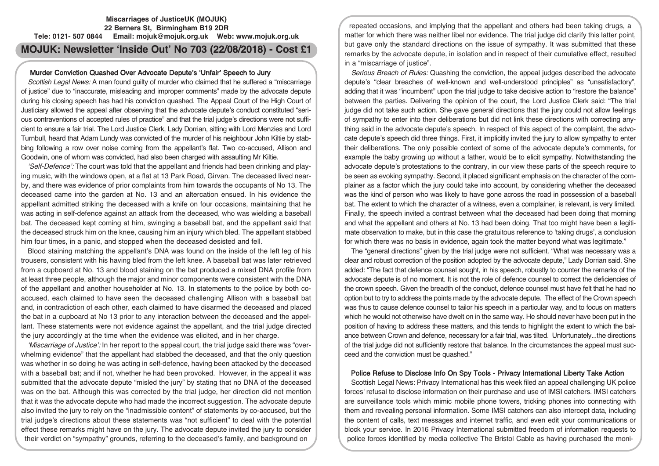# **Miscarriages of JusticeUK (MOJUK) 22 Berners St, Birmingham B19 2DR Tele: 0121- 507 0844 Email: mojuk@mojuk.org.uk Web: www.mojuk.org.uk**

# **MOJUK: Newsletter 'Inside Out' No 703 (22/08/2018) - Cost £1**

# Murder Conviction Quashed Over Advocate Depute's 'Unfair' Speech to Jury

Scottish Legal News: A man found quilty of murder who claimed that he suffered a "miscarriage of justice" due to "inaccurate, misleading and improper comments" made by the advocate depute during his closing speech has had his conviction quashed. The Appeal Court of the High Court of Justiciary allowed the appeal after observing that the advocate depute's conduct constituted "serious contraventions of accepted rules of practice" and that the trial judge's directions were not sufficient to ensure a fair trial. The Lord Justice Clerk, Lady Dorrian, sitting with Lord Menzies and Lord Turnbull, heard that Adam Lundy was convicted of the murder of his neighbour John Kiltie by stabbing following a row over noise coming from the appellant's flat. Two co-accused, Allison and Goodwin, one of whom was convicted, had also been charged with assaulting Mr Kiltie.

'Self-Defence': The court was told that the appellant and friends had been drinking and playing music, with the windows open, at a flat at 13 Park Road, Girvan. The deceased lived nearby, and there was evidence of prior complaints from him towards the occupants of No 13. The deceased came into the garden at No. 13 and an altercation ensued. In his evidence the appellant admitted striking the deceased with a knife on four occasions, maintaining that he was acting in self-defence against an attack from the deceased, who was wielding a baseball bat. The deceased kept coming at him, swinging a baseball bat, and the appellant said that the deceased struck him on the knee, causing him an injury which bled. The appellant stabbed him four times, in a panic, and stopped when the deceased desisted and fell.

Blood staining matching the appellant's DNA was found on the inside of the left leg of his trousers, consistent with his having bled from the left knee. A baseball bat was later retrieved from a cupboard at No. 13 and blood staining on the bat produced a mixed DNA profile from at least three people, although the major and minor components were consistent with the DNA of the appellant and another householder at No. 13. In statements to the police by both coaccused, each claimed to have seen the deceased challenging Allison with a baseball bat and, in contradiction of each other, each claimed to have disarmed the deceased and placed the bat in a cupboard at No 13 prior to any interaction between the deceased and the appellant. These statements were not evidence against the appellant, and the trial judge directed the jury accordingly at the time when the evidence was elicited, and in her charge.

'Miscarriage of Justice': In her report to the appeal court, the trial judge said there was "overwhelming evidence" that the appellant had stabbed the deceased, and that the only question was whether in so doing he was acting in self-defence, having been attacked by the deceased with a baseball bat; and if not, whether he had been provoked. However, in the appeal it was submitted that the advocate depute "misled the jury" by stating that no DNA of the deceased was on the bat. Although this was corrected by the trial judge, her direction did not mention that it was the advocate depute who had made the incorrect suggestion. The advocate depute also invited the jury to rely on the "inadmissible content" of statements by co-accused, but the trial judge's directions about these statements was "not sufficient" to deal with the potential effect these remarks might have on the jury. The advocate depute invited the jury to consider their verdict on "sympathy" grounds, referring to the deceased's family, and background on

repeated occasions, and implying that the appellant and others had been taking drugs, a matter for which there was neither libel nor evidence. The trial judge did clarify this latter point, but gave only the standard directions on the issue of sympathy. It was submitted that these remarks by the advocate depute, in isolation and in respect of their cumulative effect, resulted in a "miscarriage of justice".

Serious Breach of Rules: Quashing the conviction, the appeal judges described the advocate depute's "clear breaches of well-known and well-understood principles" as "unsatisfactory", adding that it was "incumbent" upon the trial judge to take decisive action to "restore the balance" between the parties. Delivering the opinion of the court, the Lord Justice Clerk said: "The trial judge did not take such action. She gave general directions that the jury could not allow feelings of sympathy to enter into their deliberations but did not link these directions with correcting anything said in the advocate depute's speech. In respect of this aspect of the complaint, the advocate depute's speech did three things. First, it implicitly invited the jury to allow sympathy to enter their deliberations. The only possible context of some of the advocate depute's comments, for example the baby growing up without a father, would be to elicit sympathy. Notwithstanding the advocate depute's protestations to the contrary, in our view these parts of the speech require to be seen as evoking sympathy. Second, it placed significant emphasis on the character of the complainer as a factor which the jury could take into account, by considering whether the deceased was the kind of person who was likely to have gone across the road in possession of a baseball bat. The extent to which the character of a witness, even a complainer, is relevant, is very limited. Finally, the speech invited a contrast between what the deceased had been doing that morning and what the appellant and others at No. 13 had been doing. That too might have been a legitimate observation to make, but in this case the gratuitous reference to 'taking drugs', a conclusion for which there was no basis in evidence, again took the matter beyond what was legitimate."

The "general directions" given by the trial judge were not sufficient. "What was necessary was a clear and robust correction of the position adopted by the advocate depute," Lady Dorrian said. She added: "The fact that defence counsel sought, in his speech, robustly to counter the remarks of the advocate depute is of no moment. It is not the role of defence counsel to correct the deficiencies of the crown speech. Given the breadth of the conduct, defence counsel must have felt that he had no option but to try to address the points made by the advocate depute. The effect of the Crown speech was thus to cause defence counsel to tailor his speech in a particular way, and to focus on matters which he would not otherwise have dwelt on in the same way. He should never have been put in the position of having to address these matters, and this tends to highlight the extent to which the balance between Crown and defence, necessary for a fair trial, was tilted. Unfortunately...the directions of the trial judge did not sufficiently restore that balance. In the circumstances the appeal must succeed and the conviction must be quashed."

#### Police Refuse to Disclose Info On Spy Tools - Privacy International Liberty Take Action

Scottish Legal News: Privacy International has this week filed an appeal challenging UK police forces' refusal to disclose information on their purchase and use of IMSI catchers. IMSI catchers are surveillance tools which mimic mobile phone towers, tricking phones into connecting with them and revealing personal information. Some IMSI catchers can also intercept data, including the content of calls, text messages and internet traffic, and even edit your communications or block your service. In 2016 Privacy International submitted freedom of information requests to police forces identified by media collective The Bristol Cable as having purchased the moni-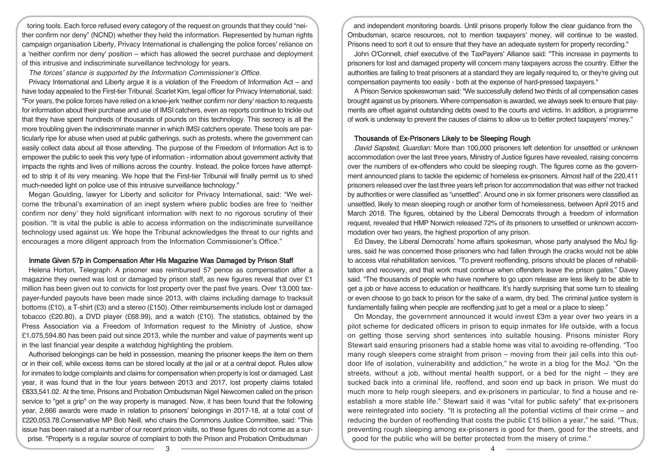toring tools. Each force refused every category of the request on grounds that they could "neither confirm nor deny" (NCND) whether they held the information. Represented by human rights campaign organisation Liberty, Privacy International is challenging the police forces' reliance on a 'neither confirm nor deny' position – which has allowed the secret purchase and deployment of this intrusive and indiscriminate surveillance technology for years.

The forces' stance is supported by the Information Commissioner's Office.

Privacy International and Liberty argue it is a violation of the Freedom of Information Act – and have today appealed to the First-tier Tribunal. Scarlet Kim, legal officer for Privacy International, said: "For years, the police forces have relied on a knee-jerk 'neither confirm nor deny' reaction to requests for information about their purchase and use of IMSI catchers, even as reports continue to trickle out that they have spent hundreds of thousands of pounds on this technology. This secrecy is all the more troubling given the indiscriminate manner in which IMSI catchers operate. These tools are particularly ripe for abuse when used at public gatherings, such as protests, where the government can easily collect data about all those attending. The purpose of the Freedom of Information Act is to empower the public to seek this very type of information - information about government activity that impacts the rights and lives of millions across the country. Instead, the police forces have attempted to strip it of its very meaning. We hope that the First-tier Tribunal will finally permit us to shed much-needed light on police use of this intrusive surveillance technology."

Megan Goulding, lawyer for Liberty and solicitor for Privacy International, said: "We welcome the tribunal's examination of an inept system where public bodies are free to 'neither confirm nor deny' they hold significant information with next to no rigorous scrutiny of their position. "It is vital the public is able to access information on the indiscriminate surveillance technology used against us. We hope the Tribunal acknowledges the threat to our rights and encourages a more diligent approach from the Information Commissioner's Office."

#### Inmate Given 57p in Compensation After His Magazine Was Damaged by Prison Staff

Helena Horton, Telegraph: A prisoner was reimbursed 57 pence as compensation after a magazine they owned was lost or damaged by prison staff, as new figures reveal that over £1 million has been given out to convicts for lost property over the past five years. Over 13,000 taxpayer-funded payouts have been made since 2013, with claims including damage to tracksuit bottoms (£10), a T-shirt (£3) and a stereo (£150). Other reimbursements include lost or damaged tobacco (£20.80), a DVD player (£68.99), and a watch (£10). The statistics, obtained by the Press Association via a Freedom of Information request to the Ministry of Justice, show £1,075,594.80 has been paid out since 2013, while the number and value of payments went up in the last financial year despite a watchdog highlighting the problem.

Authorised belongings can be held in possession, meaning the prisoner keeps the item on them or in their cell, while excess items can be stored locally at the jail or at a central depot. Rules allow for inmates to lodge complaints and claims for compensation when property is lost or damaged. Last year, it was found that in the four years between 2013 and 2017, lost property claims totaled £833,541.02. At the time, Prisons and Probation Ombudsman Nigel Newcomen called on the prison service to "get a grip" on the way property is managed. Now, it has been found that the following year, 2,666 awards were made in relation to prisoners' belongings in 2017-18, at a total cost of £220,053.78.Conservative MP Bob Neill, who chairs the Commons Justice Committee, said: "This issue has been raised at a number of our recent prison visits, so these figures do not come as a surprise. "Property is a regular source of complaint to both the Prison and Probation Ombudsman

and independent monitoring boards. Until prisons properly follow the clear guidance from the Ombudsman, scarce resources, not to mention taxpayers' money, will continue to be wasted. Prisons need to sort it out to ensure that they have an adequate system for property recording."

John O'Connell, chief executive of the TaxPayers' Alliance said: "This increase in payments to prisoners for lost and damaged property will concern many taxpayers across the country. Either the authorities are failing to treat prisoners at a standard they are legally required to, or they're giving out compensation payments too easily - both at the expense of hard-pressed taxpayers."

A Prison Service spokeswoman said: "We successfully defend two thirds of all compensation cases brought against us by prisoners. Where compensation is awarded, we always seek to ensure that payments are offset against outstanding debts owed to the courts and victims. In addition, a programme of work is underway to prevent the causes of claims to allow us to better protect taxpayers' money."

# Thousands of Ex-Prisoners Likely to be Sleeping Rough

David Sapsted, Guardian: More than 100,000 prisoners left detention for unsettled or unknown accommodation over the last three years, Ministry of Justice figures have revealed, raising concerns over the numbers of ex-offenders who could be sleeping rough. The figures come as the government announced plans to tackle the epidemic of homeless ex-prisoners. Almost half of the 220,411 prisoners released over the last three years left prison for accommodation that was either not tracked by authorities or were classified as "unsettled". Around one in six former prisoners were classified as unsettled, likely to mean sleeping rough or another form of homelessness, between April 2015 and March 2018. The figures, obtained by the Liberal Democrats through a freedom of information request, revealed that HMP Norwich released 72% of its prisoners to unsettled or unknown accommodation over two years, the highest proportion of any prison.

Ed Davey, the Liberal Democrats' home affairs spokesman, whose party analysed the MoJ figures, said he was concerned those prisoners who had fallen through the cracks would not be able to access vital rehabilitation services. "To prevent reoffending, prisons should be places of rehabilitation and recovery, and that work must continue when offenders leave the prison gates," Davey said. "The thousands of people who have nowhere to go upon release are less likely to be able to get a job or have access to education or healthcare. It's hardly surprising that some turn to stealing or even choose to go back to prison for the sake of a warm, dry bed. The criminal justice system is fundamentally failing when people are reoffending just to get a meal or a place to sleep."

On Monday, the government announced it would invest £3m a year over two years in a pilot scheme for dedicated officers in prison to equip inmates for life outside, with a focus on getting those serving short sentences into suitable housing. Prisons minister Rory Stewart said ensuring prisoners had a stable home was vital to avoiding re-offending. "Too many rough sleepers come straight from prison – moving from their jail cells into this outdoor life of isolation, vulnerability and addiction," he wrote in a blog for the MoJ. "On the streets, without a job, without mental health support, or a bed for the night – they are sucked back into a criminal life, reoffend, and soon end up back in prison. We must do much more to help rough sleepers, and ex-prisoners in particular, to find a house and reestablish a more stable life." Stewart said it was "vital for public safety" that ex-prisoners were reintegrated into society. "It is protecting all the potential victims of their crime – and reducing the burden of reoffending that costs the public £15 billion a year," he said. "Thus, preventing rough sleeping among ex-prisoners is good for them, good for the streets, and good for the public who will be better protected from the misery of crime."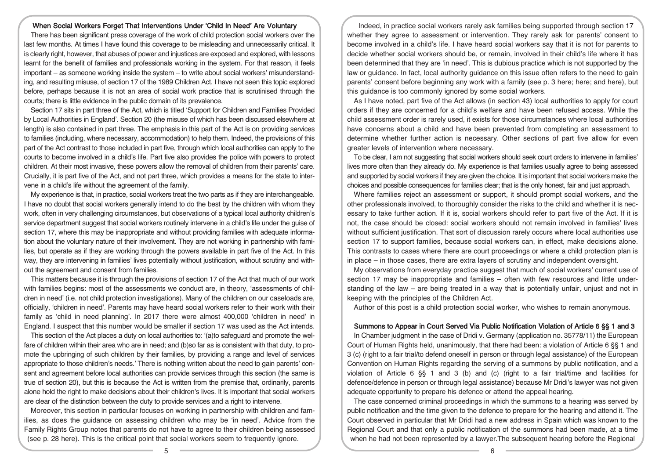#### When Social Workers Forget That Interventions Under 'Child In Need' Are Voluntary

There has been significant press coverage of the work of child protection social workers over the last few months. At times I have found this coverage to be misleading and unnecessarily critical. It is clearly right, however, that abuses of power and injustices are exposed and explored, with lessons learnt for the benefit of families and professionals working in the system. For that reason, it feels important – as someone working inside the system – to write about social workers' misunderstanding, and resulting misuse, of section 17 of the 1989 Children Act. I have not seen this topic explored before, perhaps because it is not an area of social work practice that is scrutinised through the courts; there is little evidence in the public domain of its prevalence.

Section 17 sits in part three of the Act, which is titled 'Support for Children and Families Provided by Local Authorities in England'. Section 20 (the misuse of which has been discussed elsewhere at length) is also contained in part three. The emphasis in this part of the Act is on providing services to families (including, where necessary, accommodation) to help them. Indeed, the provisions of this part of the Act contrast to those included in part five, through which local authorities can apply to the courts to become involved in a child's life. Part five also provides the police with powers to protect children. At their most invasive, these powers allow the removal of children from their parents' care. Crucially, it is part five of the Act, and not part three, which provides a means for the state to intervene in a child's life without the agreement of the family.

My experience is that, in practice, social workers treat the two parts as if they are interchangeable. I have no doubt that social workers generally intend to do the best by the children with whom they work, often in very challenging circumstances, but observations of a typical local authority children's service department suggest that social workers routinely intervene in a child's life under the guise of section 17, where this may be inappropriate and without providing families with adequate information about the voluntary nature of their involvement. They are not working in partnership with families, but operate as if they are working through the powers available in part five of the Act. In this way, they are intervening in families' lives potentially without justification, without scrutiny and without the agreement and consent from families.

This matters because it is through the provisions of section 17 of the Act that much of our work with families begins: most of the assessments we conduct are, in theory, 'assessments of children in need' (i.e. not child protection investigations). Many of the children on our caseloads are, officially, 'children in need'. Parents may have heard social workers refer to their work with their family as 'child in need planning'. In 2017 there were almost 400,000 'children in need' in England. I suspect that this number would be smaller if section 17 was used as the Act intends.

This section of the Act places a duty on local authorities to: '(a)to safeguard and promote the welfare of children within their area who are in need; and (b)so far as is consistent with that duty, to promote the upbringing of such children by their families, by providing a range and level of services appropriate to those children's needs.' There is nothing written about the need to gain parents' consent and agreement before local authorities can provide services through this section (the same is true of section 20), but this is because the Act is written from the premise that, ordinarily, parents alone hold the right to make decisions about their children's lives. It is important that social workers are clear of the distinction between the duty to provide services and a right to intervene.

Moreover, this section in particular focuses on working in partnership with children and families, as does the guidance on assessing children who may be 'in need'. Advice from the Family Rights Group notes that parents do not have to agree to their children being assessed (see p. 28 here). This is the critical point that social workers seem to frequently ignore.

Indeed, in practice social workers rarely ask families being supported through section 17 whether they agree to assessment or intervention. They rarely ask for parents' consent to become involved in a child's life. I have heard social workers say that it is not for parents to decide whether social workers should be, or remain, involved in their child's life where it has been determined that they are 'in need'. This is dubious practice which is not supported by the law or guidance. In fact, local authority guidance on this issue often refers to the need to gain parents' consent before beginning any work with a family (see p. 3 here; here; and here), but this guidance is too commonly ignored by some social workers.

As I have noted, part five of the Act allows (in section 43) local authorities to apply for court orders if they are concerned for a child's welfare and have been refused access. While the child assessment order is rarely used, it exists for those circumstances where local authorities have concerns about a child and have been prevented from completing an assessment to determine whether further action is necessary. Other sections of part five allow for even greater levels of intervention where necessary.

To be clear, I am not suggesting that social workers should seek court orders to intervene in families' lives more often than they already do. My experience is that families usually agree to being assessed and supported by social workers if they are given the choice. It is important that social workers make the choices and possible consequences for families clear; that is the only honest, fair and just approach.

Where families reject an assessment or support, it should prompt social workers, and the other professionals involved, to thoroughly consider the risks to the child and whether it is necessary to take further action. If it is, social workers should refer to part five of the Act. If it is not, the case should be closed: social workers should not remain involved in families' lives without sufficient justification. That sort of discussion rarely occurs where local authorities use section 17 to support families, because social workers can, in effect, make decisions alone. This contrasts to cases where there are court proceedings or where a child protection plan is in place – in those cases, there are extra layers of scrutiny and independent oversight.

My observations from everyday practice suggest that much of social workers' current use of section 17 may be inappropriate and families – often with few resources and little understanding of the law – are being treated in a way that is potentially unfair, unjust and not in keeping with the principles of the Children Act.

Author of this post is a child protection social worker, who wishes to remain anonymous.

#### Summons to Appear in Court Served Via Public Notification Violation of Article 6 §§ 1 and 3

In Chamber judgment in the case of Dridi v. Germany (application no. 35778/11) the European Court of Human Rights held, unanimously, that there had been: a violation of Article 6 §§ 1 and 3 (c) (right to a fair trial/to defend oneself in person or through legal assistance) of the European Convention on Human Rights regarding the serving of a summons by public notification, and a violation of Article 6 §§ 1 and 3 (b) and (c) (right to a fair trial/time and facilities for defence/defence in person or through legal assistance) because Mr Dridi's lawyer was not given adequate opportunity to prepare his defence or attend the appeal hearing.

The case concerned criminal proceedings in which the summons to a hearing was served by public notification and the time given to the defence to prepare for the hearing and attend it. The Court observed in particular that Mr Dridi had a new address in Spain which was known to the Regional Court and that only a public notification of the summons had been made, at a time when he had not been represented by a lawyer. The subsequent hearing before the Regional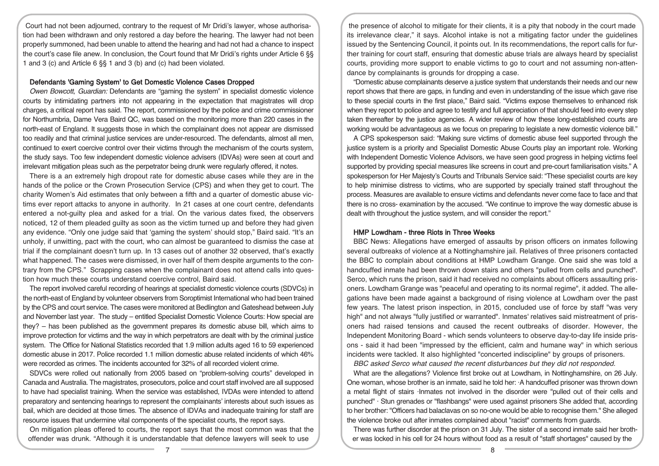Court had not been adjourned, contrary to the request of Mr Dridi's lawyer, whose authorisation had been withdrawn and only restored a day before the hearing. The lawyer had not been properly summoned, had been unable to attend the hearing and had not had a chance to inspect the court's case file anew. In conclusion, the Court found that Mr Dridi's rights under Article 6 §§ 1 and 3 (c) and Article 6 §§ 1 and 3 (b) and (c) had been violated.

#### Defendants 'Gaming System' to Get Domestic Violence Cases Dropped

Owen Bowcott, Guardian: Defendants are "gaming the system" in specialist domestic violence courts by intimidating partners into not appearing in the expectation that magistrates will drop charges, a critical report has said. The report, commissioned by the police and crime commissioner for Northumbria, Dame Vera Baird QC, was based on the monitoring more than 220 cases in the north-east of England. It suggests those in which the complainant does not appear are dismissed too readily and that criminal justice services are under-resourced. The defendants, almost all men, continued to exert coercive control over their victims through the mechanism of the courts system, the study says. Too few independent domestic violence advisers (IDVAs) were seen at court and irrelevant mitigation pleas such as the perpetrator being drunk were regularly offered, it notes.

There is a an extremely high dropout rate for domestic abuse cases while they are in the hands of the police or the Crown Prosecution Service (CPS) and when they get to court. The charity Women's Aid estimates that only between a fifth and a quarter of domestic abuse victims ever report attacks to anyone in authority. In 21 cases at one court centre, defendants entered a not-guilty plea and asked for a trial. On the various dates fixed, the observers noticed, 12 of them pleaded guilty as soon as the victim turned up and before they had given any evidence. "Only one judge said that 'gaming the system' should stop," Baird said. "It's an unholy, if unwitting, pact with the court, who can almost be guaranteed to dismiss the case at trial if the complainant doesn't turn up. In 13 cases out of another 32 observed, that's exactly what happened. The cases were dismissed, in over half of them despite arguments to the contrary from the CPS." Scrapping cases when the complainant does not attend calls into question how much these courts understand coercive control, Baird said.

The report involved careful recording of hearings at specialist domestic violence courts (SDVCs) in the north-east of England by volunteer observers from Soroptimist International who had been trained by the CPS and court service. The cases were monitored at Bedlington and Gateshead between July and November last year. The study – entitled Specialist Domestic Violence Courts: How special are they? – has been published as the government prepares its domestic abuse bill, which aims to improve protection for victims and the way in which perpetrators are dealt with by the criminal justice system. The Office for National Statistics recorded that 1.9 million adults aged 16 to 59 experienced domestic abuse in 2017. Police recorded 1.1 million domestic abuse related incidents of which 46% were recorded as crimes. The incidents accounted for 32% of all recorded violent crime.

SDVCs were rolled out nationally from 2005 based on "problem-solving courts" developed in Canada and Australia. The magistrates, prosecutors, police and court staff involved are all supposed to have had specialist training. When the service was established, IVDAs were intended to attend preparatory and sentencing hearings to represent the complainants' interests about such issues as bail, which are decided at those times. The absence of IDVAs and inadequate training for staff are resource issues that undermine vital components of the specialist courts, the report says.

On mitigation pleas offered to courts, the report says that the most common was that the offender was drunk. "Although it is understandable that defence lawyers will seek to use

the presence of alcohol to mitigate for their clients, it is a pity that nobody in the court made its irrelevance clear," it says. Alcohol intake is not a mitigating factor under the guidelines issued by the Sentencing Council, it points out. In its recommendations, the report calls for further training for court staff, ensuring that domestic abuse trials are always heard by specialist courts, providing more support to enable victims to go to court and not assuming non-attendance by complainants is grounds for dropping a case.

"Domestic abuse complainants deserve a justice system that understands their needs and our new report shows that there are gaps, in funding and even in understanding of the issue which gave rise to these special courts in the first place," Baird said. "Victims expose themselves to enhanced risk when they report to police and agree to testify and full appreciation of that should feed into every step taken thereafter by the justice agencies. A wider review of how these long-established courts are working would be advantageous as we focus on preparing to legislate a new domestic violence bill."

A CPS spokesperson said: "Making sure victims of domestic abuse feel supported through the justice system is a priority and Specialist Domestic Abuse Courts play an important role. Working with Independent Domestic Violence Advisors, we have seen good progress in helping victims feel supported by providing special measures like screens in court and pre-court familiarisation visits." A spokesperson for Her Majesty's Courts and Tribunals Service said: "These specialist courts are key to help minimise distress to victims, who are supported by specially trained staff throughout the process. Measures are available to ensure victims and defendants never come face to face and that there is no cross- examination by the accused. "We continue to improve the way domestic abuse is dealt with throughout the justice system, and will consider the report."

# HMP Lowdham - three Riots in Three Weeks

BBC News: Allegations have emerged of assaults by prison officers on inmates following several outbreaks of violence at a Nottinghamshire jail. Relatives of three prisoners contacted the BBC to complain about conditions at HMP Lowdham Grange. One said she was told a handcuffed inmate had been thrown down stairs and others "pulled from cells and punched". Serco, which runs the prison, said it had received no complaints about officers assaulting prisoners. Lowdham Grange was "peaceful and operating to its normal regime", it added. The allegations have been made against a background of rising violence at Lowdham over the past few years. The latest prison inspection, in 2015, concluded use of force by staff "was very high" and not always "fully justified or warranted". Inmates' relatives said mistreatment of prisoners had raised tensions and caused the recent outbreaks of disorder. However, the Independent Monitoring Board - which sends volunteers to observe day-to-day life inside prisons - said it had been "impressed by the efficient, calm and humane way" in which serious incidents were tackled. It also highlighted "concerted indiscipline" by groups of prisoners.

BBC asked Serco what caused the recent disturbances but they did not responded.

What are the allegations? Violence first broke out at Lowdham, in Nottinghamshire, on 26 July. One woman, whose brother is an inmate, said he told her: ·A handcuffed prisoner was thrown down a metal flight of stairs ·Inmates not involved in the disorder were "pulled out of their cells and punched" · Stun grenades or "flashbangs" were used against prisoners She added that, according to her brother: "Officers had balaclavas on so no-one would be able to recognise them." She alleged the violence broke out after inmates complained about "racist" comments from guards.

There was further disorder at the prison on 31 July. The sister of a second inmate said her brother was locked in his cell for 24 hours without food as a result of "staff shortages" caused by the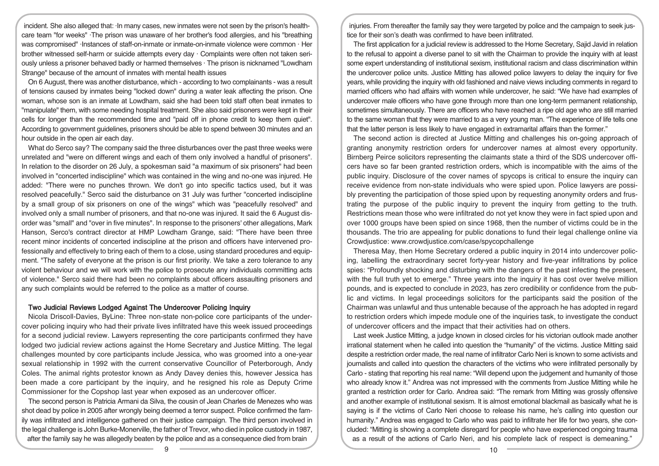incident. She also alleged that: ·In many cases, new inmates were not seen by the prison's healthcare team "for weeks" ·The prison was unaware of her brother's food allergies, and his "breathing was compromised" ·Instances of staff-on-inmate or inmate-on-inmate violence were common · Her brother witnessed self-harm or suicide attempts every day · Complaints were often not taken seriously unless a prisoner behaved badly or harmed themselves · The prison is nicknamed "Lowdham Strange" because of the amount of inmates with mental health issues

On 6 August, there was another disturbance, which - according to two complainants - was a result of tensions caused by inmates being "locked down" during a water leak affecting the prison. One woman, whose son is an inmate at Lowdham, said she had been told staff often beat inmates to "manipulate" them, with some needing hospital treatment. She also said prisoners were kept in their cells for longer than the recommended time and "paid off in phone credit to keep them quiet". According to government guidelines, prisoners should be able to spend between 30 minutes and an hour outside in the open air each day.

What do Serco say? The company said the three disturbances over the past three weeks were unrelated and "were on different wings and each of them only involved a handful of prisoners". In relation to the disorder on 26 July, a spokesman said "a maximum of six prisoners" had been involved in "concerted indiscipline" which was contained in the wing and no-one was injured. He added: "There were no punches thrown. We don't go into specific tactics used, but it was resolved peacefully." Serco said the disturbance on 31 July was further "concerted indiscipline by a small group of six prisoners on one of the wings" which was "peacefully resolved" and involved only a small number of prisoners, and that no-one was injured. It said the 6 August disorder was "small" and "over in five minutes". In response to the prisoners' other allegations, Mark Hanson, Serco's contract director at HMP Lowdham Grange, said: "There have been three recent minor incidents of concerted indiscipline at the prison and officers have intervened professionally and effectively to bring each of them to a close, using standard procedures and equipment. "The safety of everyone at the prison is our first priority. We take a zero tolerance to any violent behaviour and we will work with the police to prosecute any individuals committing acts of violence." Serco said there had been no complaints about officers assaulting prisoners and any such complaints would be referred to the police as a matter of course.

# Two Judicial Reviews Lodged Against The Undercover Policing Inquiry

Nicola Driscoll-Davies, ByLine: Three non-state non-police core participants of the undercover policing inquiry who had their private lives infiltrated have this week issued proceedings for a second judicial review. Lawyers representing the core participants confirmed they have lodged two judicial review actions against the Home Secretary and Justice Mitting. The legal challenges mounted by core participants include Jessica, who was groomed into a one-year sexual relationship in 1992 with the current conservative Councillor of Peterborough, Andy Coles. The animal rights protestor known as Andy Davey denies this, however Jessica has been made a core participant by the inquiry, and he resigned his role as Deputy Crime Commissioner for the Copshop last year when exposed as an undercover officer.

The second person is Patricia Armani da Silva, the cousin of Jean Charles de Menezes who was shot dead by police in 2005 after wrongly being deemed a terror suspect. Police confirmed the family was infiltrated and intelligence gathered on their justice campaign. The third person involved in the legal challenge is John Burke-Monerville, the father of Trevor, who died in police custody in 1987, after the family say he was allegedly beaten by the police and as a consequence died from brain

injuries. From thereafter the family say they were targeted by police and the campaign to seek justice for their son's death was confirmed to have been infiltrated.

The first application for a judicial review is addressed to the Home Secretary, Sajid Javid in relation to the refusal to appoint a diverse panel to sit with the Chairman to provide the inquiry with at least some expert understanding of institutional sexism, institutional racism and class discrimination within the undercover police units. Justice Mitting has allowed police lawyers to delay the inquiry for five years, while providing the inquiry with old fashioned and naive views including comments in regard to married officers who had affairs with women while undercover, he said: "We have had examples of undercover male officers who have gone through more than one long-term permanent relationship, sometimes simultaneously. There are officers who have reached a ripe old age who are still married to the same woman that they were married to as a very young man. "The experience of life tells one that the latter person is less likely to have engaged in extramarital affairs than the former."

The second action is directed at Justice Mitting and challenges his on-going approach of granting anonymity restriction orders for undercover names at almost every opportunity. Birnberg Peirce solicitors representing the claimants state a third of the SDS undercover officers have so far been granted restriction orders, which is incompatible with the aims of the public inquiry. Disclosure of the cover names of spycops is critical to ensure the inquiry can receive evidence from non-state individuals who were spied upon. Police lawyers are possibly preventing the participation of those spied upon by requesting anonymity orders and frustrating the purpose of the public inquiry to prevent the inquiry from getting to the truth. Restrictions mean those who were infiltrated do not yet know they were in fact spied upon and over 1000 groups have been spied on since 1968, then the number of victims could be in the thousands. The trio are appealing for public donations to fund their legal challenge online via Crowdjustice: www.crowdjustice.com/case/spycopchallenge

Theresa May, then Home Secretary ordered a public inquiry in 2014 into undercover policing, labelling the extraordinary secret forty-year history and five-year infiltrations by police spies: "Profoundly shocking and disturbing with the dangers of the past infecting the present, with the full truth yet to emerge." Three years into the inquiry it has cost over twelve million pounds, and is expected to conclude in 2023, has zero credibility or confidence from the public and victims. In legal proceedings solicitors for the participants said the position of the Chairman was unlawful and thus untenable because of the approach he has adopted in regard to restriction orders which impede module one of the inquiries task, to investigate the conduct of undercover officers and the impact that their activities had on others.

Last week Justice Mitting, a judge known in closed circles for his victorian outlook made another irrational statement when he called into question the "humanity" of the victims. Justice Mitting said despite a restriction order made, the real name of infiltrator Carlo Neri is known to some activists and journalists and called into question the characters of the victims who were infiltrated personally by Carlo - stating that reporting his real name: "Will depend upon the judgement and humanity of those who already know it." Andrea was not impressed with the comments from Justice Mitting while he granted a restriction order for Carlo. Andrea said: "The remark from Mitting was grossly offensive and another example of institutional sexism. It is almost emotional blackmail as basically what he is saying is if the victims of Carlo Neri choose to release his name, he's calling into question our humanity." Andrea was engaged to Carlo who was paid to infiltrate her life for two years, she concluded: "Mitting is showing a complete disregard for people who have experienced ongoing trauma as a result of the actions of Carlo Neri, and his complete lack of respect is demeaning."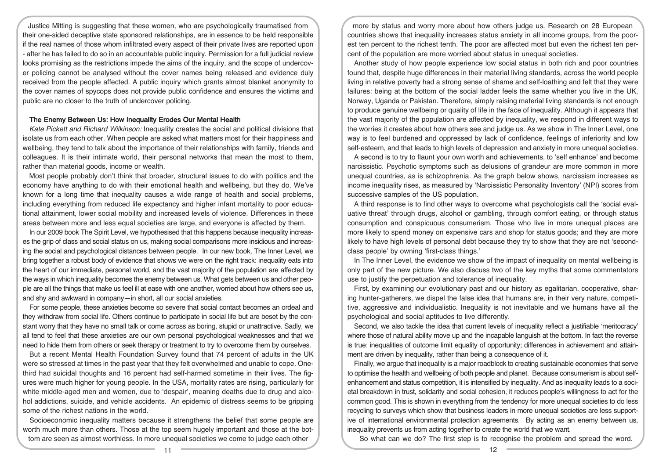Justice Mitting is suggesting that these women, who are psychologically traumatised from their one-sided deceptive state sponsored relationships, are in essence to be held responsible if the real names of those whom infiltrated every aspect of their private lives are reported upon - after he has failed to do so in an accountable public inquiry. Permission for a full judicial review looks promising as the restrictions impede the aims of the inquiry, and the scope of undercover policing cannot be analysed without the cover names being released and evidence duly received from the people affected. A public inquiry which grants almost blanket anonymity to the cover names of spycops does not provide public confidence and ensures the victims and public are no closer to the truth of undercover policing.

#### The Enemy Between Us: How Inequality Erodes Our Mental Health

Kate Pickett and Richard Wilkinson: Inequality creates the social and political divisions that isolate us from each other. When people are asked what matters most for their happiness and wellbeing, they tend to talk about the importance of their relationships with family, friends and colleagues. It is their intimate world, their personal networks that mean the most to them, rather than material goods, income or wealth.

Most people probably don't think that broader, structural issues to do with politics and the economy have anything to do with their emotional health and wellbeing, but they do. We've known for a long time that inequality causes a wide range of health and social problems, including everything from reduced life expectancy and higher infant mortality to poor educational attainment, lower social mobility and increased levels of violence. Differences in these areas between more and less equal societies are large, and everyone is affected by them.

In our 2009 book The Spirit Level, we hypothesised that this happens because inequality increases the grip of class and social status on us, making social comparisons more insidious and increasing the social and psychological distances between people. In our new book, The Inner Level, we bring together a robust body of evidence that shows we were on the right track: inequality eats into the heart of our immediate, personal world, and the vast majority of the population are affected by the ways in which inequality becomes the enemy between us. What gets between us and other people are all the things that make us feel ill at ease with one another, worried about how others see us, and shy and awkward in company—in short, all our social anxieties.

For some people, these anxieties become so severe that social contact becomes an ordeal and they withdraw from social life. Others continue to participate in social life but are beset by the constant worry that they have no small talk or come across as boring, stupid or unattractive. Sadly, we all tend to feel that these anxieties are our own personal psychological weaknesses and that we need to hide them from others or seek therapy or treatment to try to overcome them by ourselves.

But a recent Mental Health Foundation Survey found that 74 percent of adults in the UK were so stressed at times in the past year that they felt overwhelmed and unable to cope. Onethird had suicidal thoughts and 16 percent had self-harmed sometime in their lives. The figures were much higher for young people. In the USA, mortality rates are rising, particularly for white middle-aged men and women, due to 'despair', meaning deaths due to drug and alcohol addictions, suicide, and vehicle accidents. An epidemic of distress seems to be gripping some of the richest nations in the world.

Socioeconomic inequality matters because it strengthens the belief that some people are worth much more than others. Those at the top seem hugely important and those at the bottom are seen as almost worthless. In more unequal societies we come to judge each other

more by status and worry more about how others judge us. Research on 28 European countries shows that inequality increases status anxiety in all income groups, from the poorest ten percent to the richest tenth. The poor are affected most but even the richest ten percent of the population are more worried about status in unequal societies.

Another study of how people experience low social status in both rich and poor countries found that, despite huge differences in their material living standards, across the world people living in relative poverty had a strong sense of shame and self-loathing and felt that they were failures: being at the bottom of the social ladder feels the same whether you live in the UK, Norway, Uganda or Pakistan. Therefore, simply raising material living standards is not enough to produce genuine wellbeing or quality of life in the face of inequality. Although it appears that the vast majority of the population are affected by inequality, we respond in different ways to the worries it creates about how others see and judge us. As we show in The Inner Level, one way is to feel burdened and oppressed by lack of confidence, feelings of inferiority and low self-esteem, and that leads to high levels of depression and anxiety in more unequal societies.

A second is to try to flaunt your own worth and achievements, to 'self enhance' and become narcissistic. Psychotic symptoms such as delusions of grandeur are more common in more unequal countries, as is schizophrenia. As the graph below shows, narcissism increases as income inequality rises, as measured by 'Narcissistic Personality Inventory' (NPI) scores from successive samples of the US population.

A third response is to find other ways to overcome what psychologists call the 'social evaluative threat' through drugs, alcohol or gambling, through comfort eating, or through status consumption and conspicuous consumerism. Those who live in more unequal places are more likely to spend money on expensive cars and shop for status goods; and they are more likely to have high levels of personal debt because they try to show that they are not 'secondclass people' by owning 'first-class things.'

In The Inner Level, the evidence we show of the impact of inequality on mental wellbeing is only part of the new picture. We also discuss two of the key myths that some commentators use to justify the perpetuation and tolerance of inequality.

First, by examining our evolutionary past and our history as egalitarian, cooperative, sharing hunter-gatherers, we dispel the false idea that humans are, in their very nature, competitive, aggressive and individualistic. Inequality is not inevitable and we humans have all the psychological and social aptitudes to live differently.

Second, we also tackle the idea that current levels of inequality reflect a justifiable 'meritocracy' where those of natural ability move up and the incapable languish at the bottom. In fact the reverse is true: inequalities of outcome limit equality of opportunity; differences in achievement and attainment are driven by inequality, rather than being a consequence of it.

Finally, we argue that inequality is a major roadblock to creating sustainable economies that serve to optimise the health and wellbeing of both people and planet. Because consumerism is about selfenhancement and status competition, it is intensified by inequality. And as inequality leads to a societal breakdown in trust, solidarity and social cohesion, it reduces people's willingness to act for the common good. This is shown in everything from the tendency for more unequal societies to do less recycling to surveys which show that business leaders in more unequal societies are less supportive of international environmental protection agreements. By acting as an enemy between us, inequality prevents us from acting together to create the world that we want.

So what can we do? The first step is to recognise the problem and spread the word.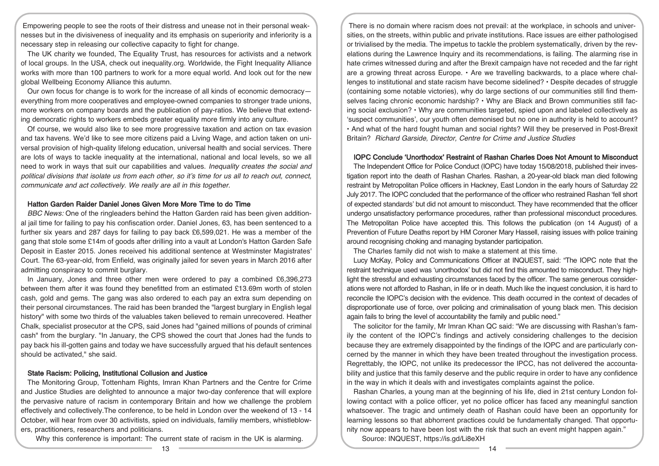Empowering people to see the roots of their distress and unease not in their personal weaknesses but in the divisiveness of inequality and its emphasis on superiority and inferiority is a necessary step in releasing our collective capacity to fight for change.

The UK charity we founded, The Equality Trust, has resources for activists and a network of local groups. In the USA, check out inequality.org. Worldwide, the Fight Inequality Alliance works with more than 100 partners to work for a more equal world. And look out for the new global Wellbeing Economy Alliance this autumn.

Our own focus for change is to work for the increase of all kinds of economic democracy everything from more cooperatives and employee-owned companies to stronger trade unions, more workers on company boards and the publication of pay-ratios. We believe that extending democratic rights to workers embeds greater equality more firmly into any culture.

Of course, we would also like to see more progressive taxation and action on tax evasion and tax havens. We'd like to see more citizens paid a Living Wage, and action taken on universal provision of high-quality lifelong education, universal health and social services. There are lots of ways to tackle inequality at the international, national and local levels, so we all need to work in ways that suit our capabilities and values. Inequality creates the social and political divisions that isolate us from each other, so it's time for us all to reach out, connect, communicate and act collectively. We really are all in this together.

#### Hatton Garden Raider Daniel Jones Given More More Time to do Time

BBC News: One of the ringleaders behind the Hatton Garden raid has been given additional jail time for failing to pay his confiscation order. Daniel Jones, 63, has been sentenced to a further six years and 287 days for failing to pay back £6,599,021. He was a member of the gang that stole some £14m of goods after drilling into a vault at London's Hatton Garden Safe Deposit in Easter 2015. Jones received his additional sentence at Westminster Magistrates' Court. The 63-year-old, from Enfield, was originally jailed for seven years in March 2016 after admitting conspiracy to commit burglary.

In January, Jones and three other men were ordered to pay a combined £6,396,273 between them after it was found they benefitted from an estimated £13.69m worth of stolen cash, gold and gems. The gang was also ordered to each pay an extra sum depending on their personal circumstances. The raid has been branded the "largest burglary in English legal history" with some two thirds of the valuables taken believed to remain unrecovered. Heather Chalk, specialist prosecutor at the CPS, said Jones had "gained millions of pounds of criminal cash" from the burglary. "In January, the CPS showed the court that Jones had the funds to pay back his ill-gotten gains and today we have successfully argued that his default sentences should be activated," she said.

#### State Racism: Policing, Institutional Collusion and Justice

The Monitoring Group, Tottenham Rights, Imran Khan Partners and the Centre for Crime and Justice Studies are delighted to announce a major two-day conference that will explore the pervasive nature of racism in contemporary Britain and how we challenge the problem effectively and collectively.The conference, to be held in London over the weekend of 13 - 14 October, will hear from over 30 activitists, spied on individuals, familiy members, whistleblowers, practitioners, researchers and politicians.

Why this conference is important: The current state of racism in the UK is alarming.

There is no domain where racism does not prevail: at the workplace, in schools and universities, on the streets, within public and private institutions. Race issues are either pathologised or trivialised by the media. The impetus to tackle the problem systematically, driven by the revelations during the Lawrence Inquiry and its recommendations, is failing. The alarming rise in hate crimes witnessed during and after the Brexit campaign have not receded and the far right are a growing threat across Europe. • Are we travelling backwards, to a place where challenges to institutional and state racism have become sidelined? • Despite decades of struggle (containing some notable victories), why do large sections of our communities still find themselves facing chronic economic hardship? • Why are Black and Brown communities still facing social exclusion? • Why are communities targeted, spied upon and labeled collectively as 'suspect communities', our youth often demonised but no one in authority is held to account? • And what of the hard fought human and social rights? Will they be preserved in Post-Brexit Britain? Richard Garside, Director, Centre for Crime and Justice Studies

#### IOPC Conclude 'Unorthodox' Restraint of Rashan Charles Does Not Amount to Misconduct

The Independent Office for Police Conduct (IOPC) have today 15/08/2018, published their investigation report into the death of Rashan Charles. Rashan, a 20-year-old black man died following restraint by Metropolitan Police officers in Hackney, East London in the early hours of Saturday 22 July 2017. The IOPC concluded that the performance of the officer who restrained Rashan 'fell short of expected standards' but did not amount to misconduct. They have recommended that the officer undergo unsatisfactory performance procedures, rather than professional misconduct procedures. The Metropolitan Police have accepted this. This follows the publication (on 14 August) of a Prevention of Future Deaths report by HM Coroner Mary Hassell, raising issues with police training around recognising choking and managing bystander participation.

The Charles family did not wish to make a statement at this time.

Lucy McKay, Policy and Communications Officer at INQUEST, said: "The IOPC note that the restraint technique used was 'unorthodox' but did not find this amounted to misconduct. They highlight the stressful and exhausting circumstances faced by the officer. The same generous considerations were not afforded to Rashan, in life or in death. Much like the inquest conclusion, it is hard to reconcile the IOPC's decision with the evidence. This death occurred in the context of decades of disproportionate use of force, over policing and criminalisation of young black men. This decision again fails to bring the level of accountability the family and public need."

The solicitor for the family, Mr Imran Khan QC said: "We are discussing with Rashan's family the content of the IOPC's findings and actively considering challenges to the decision because they are extremely disappointed by the findings of the IOPC and are particularly concerned by the manner in which they have been treated throughout the investigation process. Regrettably, the IOPC, not unlike its predecessor the IPCC, has not delivered the accountability and justice that this family deserve and the public require in order to have any confidence in the way in which it deals with and investigates complaints against the police.

Rashan Charles, a young man at the beginning of his life, died in 21st century London following contact with a police officer, yet no police officer has faced any meaningful sanction whatsoever. The tragic and untimely death of Rashan could have been an opportunity for learning lessons so that abhorrent practices could be fundamentally changed. That opportunity now appears to have been lost with the risk that such an event might happen again."

Source: INQUEST, https://is.gd/Li8eXH